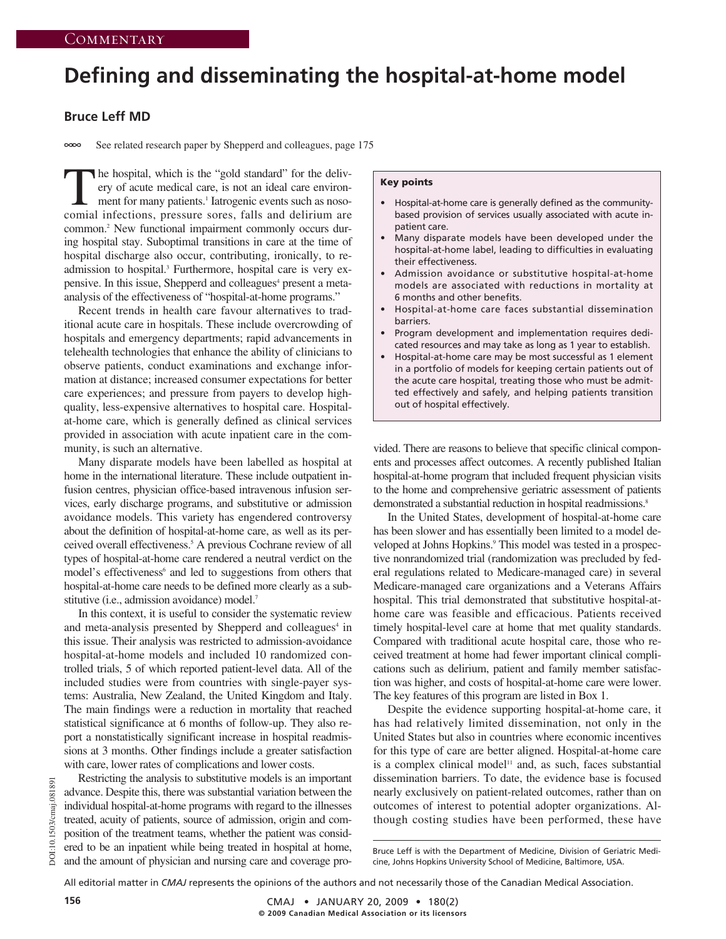# **Defining and disseminating the hospital-at-home model**

## **Bruce Leff MD**

 $\infty$ See related research paper by Shepperd and colleagues, page 175

The hospital, which is the "gold standard" for the delivery of acute medical care, is not an ideal care environment for many patients.<sup>1</sup> Iatrogenic events such as nosocomial infections, pressure sores, falls and delirium are common.2 New functional impairment commonly occurs during hospital stay. Suboptimal transitions in care at the time of hospital discharge also occur, contributing, ironically, to readmission to hospital.3 Furthermore, hospital care is very expensive. In this issue, Shepperd and colleagues<sup>4</sup> present a metaanalysis of the effectiveness of "hospital-at-home programs."

Recent trends in health care favour alternatives to traditional acute care in hospitals. These include overcrowding of hospitals and emergency departments; rapid advancements in telehealth technologies that enhance the ability of clinicians to observe patients, conduct examinations and exchange information at distance; increased consumer expectations for better care experiences; and pressure from payers to develop highquality, less-expensive alternatives to hospital care. Hospitalat-home care, which is generally defined as clinical services provided in association with acute inpatient care in the community, is such an alternative.

Many disparate models have been labelled as hospital at home in the international literature. These include outpatient infusion centres, physician office-based intravenous infusion services, early discharge programs, and substitutive or admission avoidance models. This variety has engendered controversy about the definition of hospital-at-home care, as well as its perceived overall effectiveness.5 A previous Cochrane review of all types of hospital-at-home care rendered a neutral verdict on the model's effectiveness<sup>6</sup> and led to suggestions from others that hospital-at-home care needs to be defined more clearly as a substitutive (i.e., admission avoidance) model.<sup>7</sup>

In this context, it is useful to consider the systematic review and meta-analysis presented by Shepperd and colleagues<sup>4</sup> in this issue. Their analysis was restricted to admission-avoidance hospital-at-home models and included 10 randomized controlled trials, 5 of which reported patient-level data. All of the included studies were from countries with single-payer systems: Australia, New Zealand, the United Kingdom and Italy. The main findings were a reduction in mortality that reached statistical significance at 6 months of follow-up. They also report a nonstatistically significant increase in hospital readmissions at 3 months. Other findings include a greater satisfaction with care, lower rates of complications and lower costs.

### **Key points**

- Hospital-at-home care is generally defined as the communitybased provision of services usually associated with acute inpatient care.
- Many disparate models have been developed under the hospital-at-home label, leading to difficulties in evaluating their effectiveness.
- Admission avoidance or substitutive hospital-at-home models are associated with reductions in mortality at 6 months and other benefits.
- Hospital-at-home care faces substantial dissemination barriers.
- Program development and implementation requires dedicated resources and may take as long as 1 year to establish.
- Hospital-at-home care may be most successful as 1 element in a portfolio of models for keeping certain patients out of the acute care hospital, treating those who must be admitted effectively and safely, and helping patients transition out of hospital effectively.

vided. There are reasons to believe that specific clinical components and processes affect outcomes. A recently published Italian hospital-at-home program that included frequent physician visits to the home and comprehensive geriatric assessment of patients demonstrated a substantial reduction in hospital readmissions.<sup>8</sup>

In the United States, development of hospital-at-home care has been slower and has essentially been limited to a model developed at Johns Hopkins.<sup>9</sup> This model was tested in a prospective nonrandomized trial (randomization was precluded by federal regulations related to Medicare-managed care) in several Medicare-managed care organizations and a Veterans Affairs hospital. This trial demonstrated that substitutive hospital-athome care was feasible and efficacious. Patients received timely hospital-level care at home that met quality standards. Compared with traditional acute hospital care, those who received treatment at home had fewer important clinical complications such as delirium, patient and family member satisfaction was higher, and costs of hospital-at-home care were lower. The key features of this program are listed in Box 1.

Despite the evidence supporting hospital-at-home care, it has had relatively limited dissemination, not only in the United States but also in countries where economic incentives for this type of care are better aligned. Hospital-at-home care is a complex clinical model<sup>11</sup> and, as such, faces substantial dissemination barriers. To date, the evidence base is focused nearly exclusively on patient-related outcomes, rather than on outcomes of interest to potential adopter organizations. Although costing studies have been performed, these have

All editorial matter in *CMAJ* represents the opinions of the authors and not necessarily those of the Canadian Medical Association.

DOI:10.1503/cmaj.081891

10.1503/cmaj.08189

DOI

Bruce Leff is with the Department of Medicine, Division of Geriatric Medicine, Johns Hopkins University School of Medicine, Baltimore, USA.